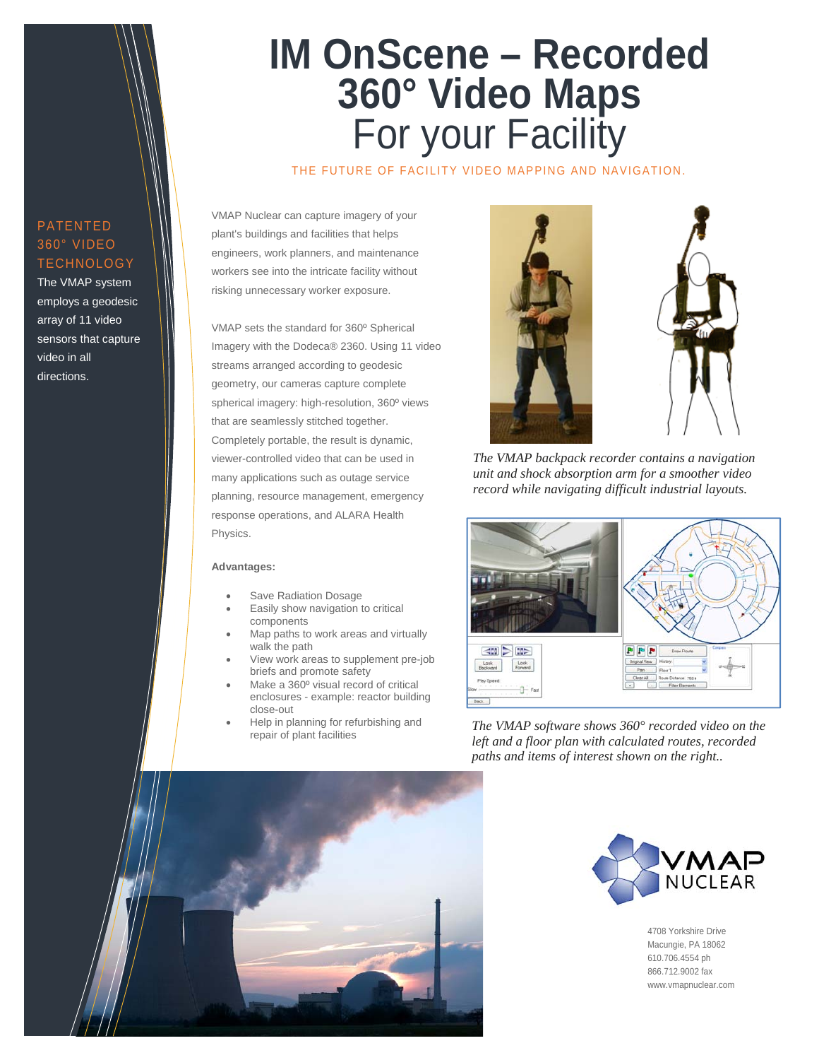## **IM OnScene – Recorded 360° Video Maps**  For your Facility

THE FUTURE OF FACILITY VIDEO MAPPING AND NAVIGATION.

PATENTED 360° VIDEO **TECHNOLOGY** 

The VMAP system employs a geodesic array of 11 video sensors that capture video in all directions.

VMAP Nuclear can capture imagery of your plant's buildings and facilities that helps engineers, work planners, and maintenance workers see into the intricate facility without risking unnecessary worker exposure.

VMAP sets the standard for 360º Spherical Imagery with the Dodeca® 2360. Using 11 video streams arranged according to geodesic geometry, our cameras capture complete spherical imagery: high-resolution, 360º views that are seamlessly stitched together. Completely portable, the result is dynamic, viewer-controlled video that can be used in many applications such as outage service planning, resource management, emergency response operations, and ALARA Health Physics.

#### **Advantages:**

- Save Radiation Dosage
- Easily show navigation to critical components
- Map paths to work areas and virtually walk the path
- View work areas to supplement pre-job briefs and promote safety
- Make a 360° visual record of critical enclosures - example: reactor building close-out
- Help in planning for refurbishing and repair of plant facilities



*The VMAP backpack recorder contains a navigation unit and shock absorption arm for a smoother video record while navigating difficult industrial layouts.* 



*The VMAP software shows 360° recorded video on the left and a floor plan with calculated routes, recorded paths and items of interest shown on the right..* 





4708 Yorkshire Drive Macungie, PA 18062 610.706.4554 ph 866.712.9002 fax www.vmapnuclear.com